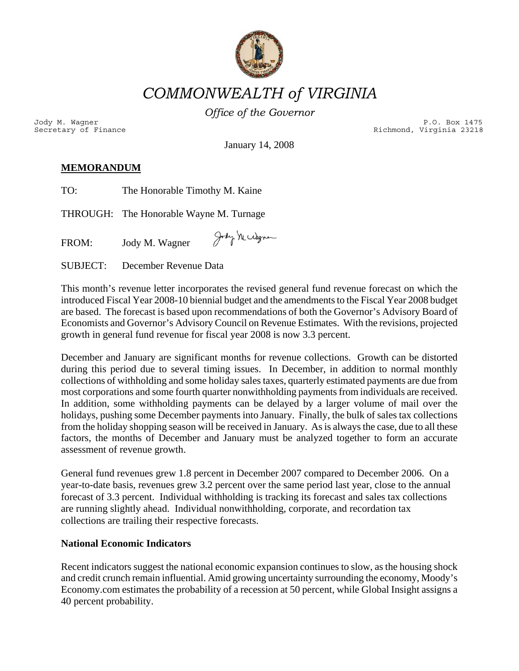

*COMMONWEALTH of VIRGINIA* 

*Office of the Governor*

Jody M. Wagner P.O. Box 1475<br>Secretary of Finance external property of the external property of the external property of the external prope<br>P.O. Box 1475 (P.O. Box 1475) Richmond, Virginia 23218

January 14, 2008

# **MEMORANDUM**

THROUGH: The Honorable Wayne M. Turnage

Jody Mccdagner FROM: Jody M. Wagner

SUBJECT: December Revenue Data

This month's revenue letter incorporates the revised general fund revenue forecast on which the introduced Fiscal Year 2008-10 biennial budget and the amendments to the Fiscal Year 2008 budget are based. The forecast is based upon recommendations of both the Governor's Advisory Board of Economists and Governor's Advisory Council on Revenue Estimates. With the revisions, projected growth in general fund revenue for fiscal year 2008 is now 3.3 percent.

December and January are significant months for revenue collections. Growth can be distorted during this period due to several timing issues. In December, in addition to normal monthly collections of withholding and some holiday sales taxes, quarterly estimated payments are due from most corporations and some fourth quarter nonwithholding payments from individuals are received. In addition, some withholding payments can be delayed by a larger volume of mail over the holidays, pushing some December payments into January. Finally, the bulk of sales tax collections from the holiday shopping season will be received in January. As is always the case, due to all these factors, the months of December and January must be analyzed together to form an accurate assessment of revenue growth.

General fund revenues grew 1.8 percent in December 2007 compared to December 2006. On a year-to-date basis, revenues grew 3.2 percent over the same period last year, close to the annual forecast of 3.3 percent. Individual withholding is tracking its forecast and sales tax collections are running slightly ahead. Individual nonwithholding, corporate, and recordation tax collections are trailing their respective forecasts.

### **National Economic Indicators**

Recent indicators suggest the national economic expansion continues to slow, as the housing shock and credit crunch remain influential. Amid growing uncertainty surrounding the economy, Moody's Economy.com estimates the probability of a recession at 50 percent, while Global Insight assigns a 40 percent probability.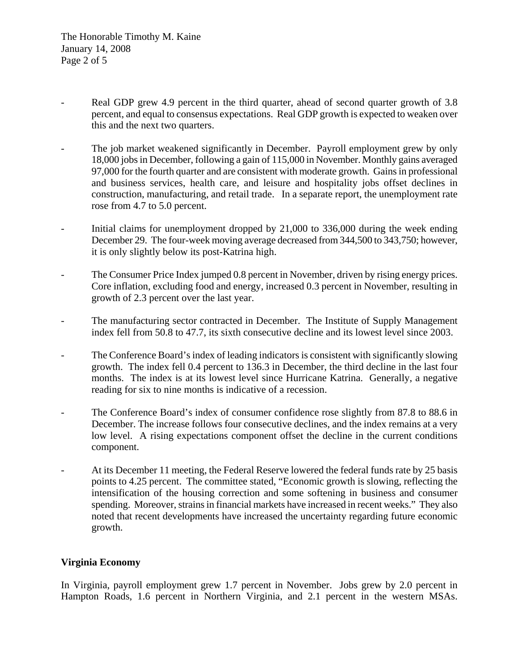- Real GDP grew 4.9 percent in the third quarter, ahead of second quarter growth of 3.8 percent, and equal to consensus expectations. Real GDP growth is expected to weaken over this and the next two quarters.
- The job market weakened significantly in December. Payroll employment grew by only 18,000 jobs in December, following a gain of 115,000 in November. Monthly gains averaged 97,000 for the fourth quarter and are consistent with moderate growth. Gains in professional and business services, health care, and leisure and hospitality jobs offset declines in construction, manufacturing, and retail trade. In a separate report, the unemployment rate rose from 4.7 to 5.0 percent.
- Initial claims for unemployment dropped by 21,000 to 336,000 during the week ending December 29. The four-week moving average decreased from 344,500 to 343,750; however, it is only slightly below its post-Katrina high.
- The Consumer Price Index jumped 0.8 percent in November, driven by rising energy prices. Core inflation, excluding food and energy, increased 0.3 percent in November, resulting in growth of 2.3 percent over the last year.
- The manufacturing sector contracted in December. The Institute of Supply Management index fell from 50.8 to 47.7, its sixth consecutive decline and its lowest level since 2003.
- The Conference Board's index of leading indicators is consistent with significantly slowing growth. The index fell 0.4 percent to 136.3 in December, the third decline in the last four months. The index is at its lowest level since Hurricane Katrina. Generally, a negative reading for six to nine months is indicative of a recession.
- The Conference Board's index of consumer confidence rose slightly from 87.8 to 88.6 in December. The increase follows four consecutive declines, and the index remains at a very low level. A rising expectations component offset the decline in the current conditions component.
- At its December 11 meeting, the Federal Reserve lowered the federal funds rate by 25 basis points to 4.25 percent. The committee stated, "Economic growth is slowing, reflecting the intensification of the housing correction and some softening in business and consumer spending. Moreover, strains in financial markets have increased in recent weeks." They also noted that recent developments have increased the uncertainty regarding future economic growth.

## **Virginia Economy**

In Virginia, payroll employment grew 1.7 percent in November. Jobs grew by 2.0 percent in Hampton Roads, 1.6 percent in Northern Virginia, and 2.1 percent in the western MSAs.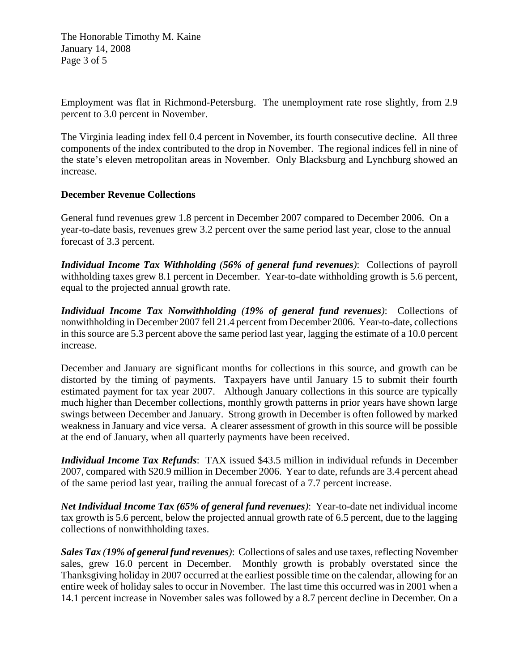The Honorable Timothy M. Kaine January 14, 2008 Page 3 of 5

Employment was flat in Richmond-Petersburg. The unemployment rate rose slightly, from 2.9 percent to 3.0 percent in November.

The Virginia leading index fell 0.4 percent in November, its fourth consecutive decline. All three components of the index contributed to the drop in November. The regional indices fell in nine of the state's eleven metropolitan areas in November. Only Blacksburg and Lynchburg showed an increase.

### **December Revenue Collections**

General fund revenues grew 1.8 percent in December 2007 compared to December 2006. On a year-to-date basis, revenues grew 3.2 percent over the same period last year, close to the annual forecast of 3.3 percent.

*Individual Income Tax Withholding (56% of general fund revenues)*: Collections of payroll withholding taxes grew 8.1 percent in December. Year-to-date withholding growth is 5.6 percent, equal to the projected annual growth rate.

*Individual Income Tax Nonwithholding (19% of general fund revenues)*: Collections of nonwithholding in December 2007 fell 21.4 percent from December 2006. Year-to-date, collections in this source are 5.3 percent above the same period last year, lagging the estimate of a 10.0 percent increase.

December and January are significant months for collections in this source, and growth can be distorted by the timing of payments. Taxpayers have until January 15 to submit their fourth estimated payment for tax year 2007. Although January collections in this source are typically much higher than December collections, monthly growth patterns in prior years have shown large swings between December and January. Strong growth in December is often followed by marked weakness in January and vice versa. A clearer assessment of growth in this source will be possible at the end of January, when all quarterly payments have been received.

*Individual Income Tax Refunds*: TAX issued \$43.5 million in individual refunds in December 2007, compared with \$20.9 million in December 2006. Year to date, refunds are 3.4 percent ahead of the same period last year, trailing the annual forecast of a 7.7 percent increase.

*Net Individual Income Tax (65% of general fund revenues)*: Year-to-date net individual income tax growth is 5.6 percent, below the projected annual growth rate of 6.5 percent, due to the lagging collections of nonwithholding taxes.

*Sales Tax (19% of general fund revenues)*: Collections of sales and use taxes, reflecting November sales, grew 16.0 percent in December. Monthly growth is probably overstated since the Thanksgiving holiday in 2007 occurred at the earliest possible time on the calendar, allowing for an entire week of holiday sales to occur in November. The last time this occurred was in 2001 when a 14.1 percent increase in November sales was followed by a 8.7 percent decline in December. On a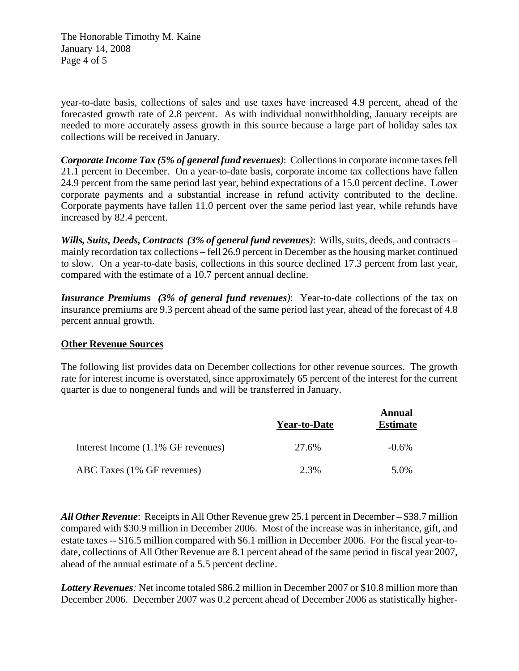The Honorable Timothy M. Kaine January 14, 2008 Page 4 of 5

year-to-date basis, collections of sales and use taxes have increased 4.9 percent, ahead of the forecasted growth rate of 2.8 percent. As with individual nonwithholding, January receipts are needed to more accurately assess growth in this source because a large part of holiday sales tax collections will be received in January.

*Corporate Income Tax (5% of general fund revenues)*: Collections in corporate income taxes fell 21.1 percent in December. On a year-to-date basis, corporate income tax collections have fallen 24.9 percent from the same period last year, behind expectations of a 15.0 percent decline. Lower corporate payments and a substantial increase in refund activity contributed to the decline. Corporate payments have fallen 11.0 percent over the same period last year, while refunds have increased by 82.4 percent.

*Wills, Suits, Deeds, Contracts**(3% of general fund revenues)*: Wills, suits, deeds, and contracts – mainly recordation tax collections – fell 26.9 percent in December as the housing market continued to slow. On a year-to-date basis, collections in this source declined 17.3 percent from last year, compared with the estimate of a 10.7 percent annual decline.

*Insurance Premiums**(3% of general fund revenues)*: Year-to-date collections of the tax on insurance premiums are 9.3 percent ahead of the same period last year, ahead of the forecast of 4.8 percent annual growth.

### **Other Revenue Sources**

The following list provides data on December collections for other revenue sources. The growth rate for interest income is overstated, since approximately 65 percent of the interest for the current quarter is due to nongeneral funds and will be transferred in January.

|                                    | <b>Year-to-Date</b> | Annual<br><b>Estimate</b> |
|------------------------------------|---------------------|---------------------------|
| Interest Income (1.1% GF revenues) | 27.6%               | $-0.6\%$                  |
| ABC Taxes (1% GF revenues)         | 2.3%                | 5.0%                      |

*All Other Revenue*: Receipts in All Other Revenue grew 25.1 percent in December – \$38.7 million compared with \$30.9 million in December 2006. Most of the increase was in inheritance, gift, and estate taxes -- \$16.5 million compared with \$6.1 million in December 2006. For the fiscal year-todate, collections of All Other Revenue are 8.1 percent ahead of the same period in fiscal year 2007, ahead of the annual estimate of a 5.5 percent decline.

*Lottery Revenues:* Net income totaled \$86.2 million in December 2007 or \$10.8 million more than December 2006. December 2007 was 0.2 percent ahead of December 2006 as statistically higher